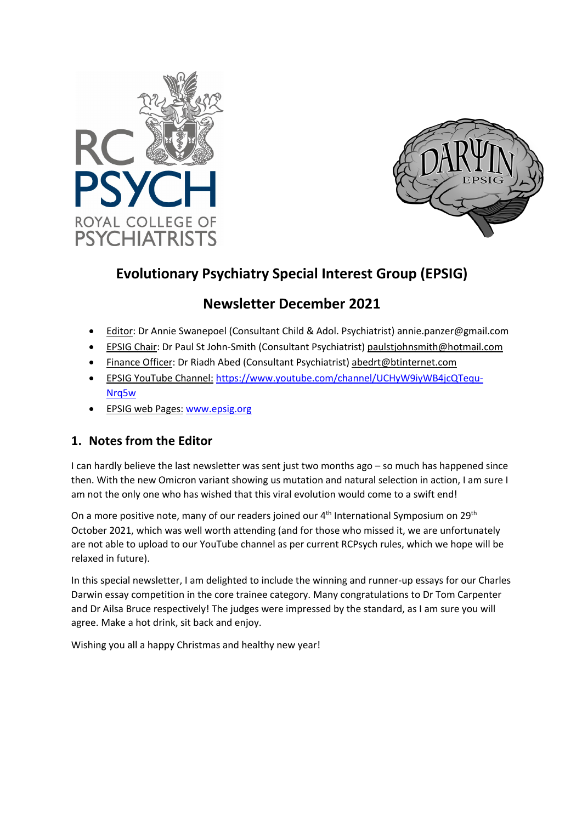



# **Evolutionary Psychiatry Special Interest Group (EPSIG)**

# **Newsletter December 2021**

- Editor: Dr Annie Swanepoel (Consultant Child & Adol. Psychiatrist) annie.panzer@gmail.com
- EPSIG Chair: Dr Paul St John-Smith (Consultant Psychiatrist) paulstjohnsmith@hotmail.com
- Finance Officer: Dr Riadh Abed (Consultant Psychiatrist) abedrt@btinternet.com
- EPSIG YouTube Channel: https://www.youtube.com/channel/UCHyW9iyWB4jcQTequ-Nrq5w
- EPSIG web Pages: www.epsig.org

# **1. Notes from the Editor**

I can hardly believe the last newsletter was sent just two months ago – so much has happened since then. With the new Omicron variant showing us mutation and natural selection in action, I am sure I am not the only one who has wished that this viral evolution would come to a swift end!

On a more positive note, many of our readers joined our 4<sup>th</sup> International Symposium on 29<sup>th</sup> October 2021, which was well worth attending (and for those who missed it, we are unfortunately are not able to upload to our YouTube channel as per current RCPsych rules, which we hope will be relaxed in future).

In this special newsletter, I am delighted to include the winning and runner-up essays for our Charles Darwin essay competition in the core trainee category. Many congratulations to Dr Tom Carpenter and Dr Ailsa Bruce respectively! The judges were impressed by the standard, as I am sure you will agree. Make a hot drink, sit back and enjoy.

Wishing you all a happy Christmas and healthy new year!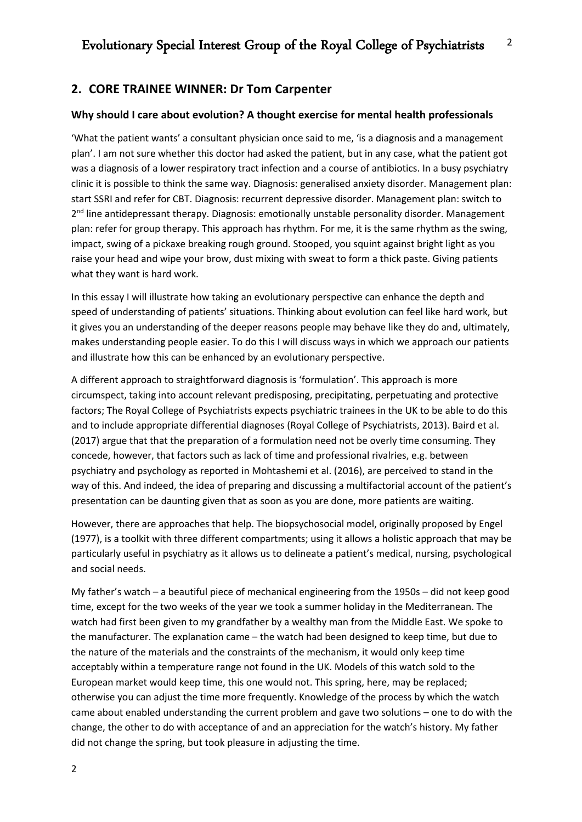## **2. CORE TRAINEE WINNER: Dr Tom Carpenter**

### **Why should I care about evolution? A thought exercise for mental health professionals**

'What the patient wants' a consultant physician once said to me, 'is a diagnosis and a management plan'. I am not sure whether this doctor had asked the patient, but in any case, what the patient got was a diagnosis of a lower respiratory tract infection and a course of antibiotics. In a busy psychiatry clinic it is possible to think the same way. Diagnosis: generalised anxiety disorder. Management plan: start SSRI and refer for CBT. Diagnosis: recurrent depressive disorder. Management plan: switch to 2<sup>nd</sup> line antidepressant therapy. Diagnosis: emotionally unstable personality disorder. Management plan: refer for group therapy. This approach has rhythm. For me, it is the same rhythm as the swing, impact, swing of a pickaxe breaking rough ground. Stooped, you squint against bright light as you raise your head and wipe your brow, dust mixing with sweat to form a thick paste. Giving patients what they want is hard work.

In this essay I will illustrate how taking an evolutionary perspective can enhance the depth and speed of understanding of patients' situations. Thinking about evolution can feel like hard work, but it gives you an understanding of the deeper reasons people may behave like they do and, ultimately, makes understanding people easier. To do this I will discuss ways in which we approach our patients and illustrate how this can be enhanced by an evolutionary perspective.

A different approach to straightforward diagnosis is 'formulation'. This approach is more circumspect, taking into account relevant predisposing, precipitating, perpetuating and protective factors; The Royal College of Psychiatrists expects psychiatric trainees in the UK to be able to do this and to include appropriate differential diagnoses (Royal College of Psychiatrists, 2013). Baird et al. (2017) argue that that the preparation of a formulation need not be overly time consuming. They concede, however, that factors such as lack of time and professional rivalries, e.g. between psychiatry and psychology as reported in Mohtashemi et al. (2016), are perceived to stand in the way of this. And indeed, the idea of preparing and discussing a multifactorial account of the patient's presentation can be daunting given that as soon as you are done, more patients are waiting.

However, there are approaches that help. The biopsychosocial model, originally proposed by Engel (1977), is a toolkit with three different compartments; using it allows a holistic approach that may be particularly useful in psychiatry as it allows us to delineate a patient's medical, nursing, psychological and social needs.

My father's watch – a beautiful piece of mechanical engineering from the 1950s – did not keep good time, except for the two weeks of the year we took a summer holiday in the Mediterranean. The watch had first been given to my grandfather by a wealthy man from the Middle East. We spoke to the manufacturer. The explanation came – the watch had been designed to keep time, but due to the nature of the materials and the constraints of the mechanism, it would only keep time acceptably within a temperature range not found in the UK. Models of this watch sold to the European market would keep time, this one would not. This spring, here, may be replaced; otherwise you can adjust the time more frequently. Knowledge of the process by which the watch came about enabled understanding the current problem and gave two solutions – one to do with the change, the other to do with acceptance of and an appreciation for the watch's history. My father did not change the spring, but took pleasure in adjusting the time.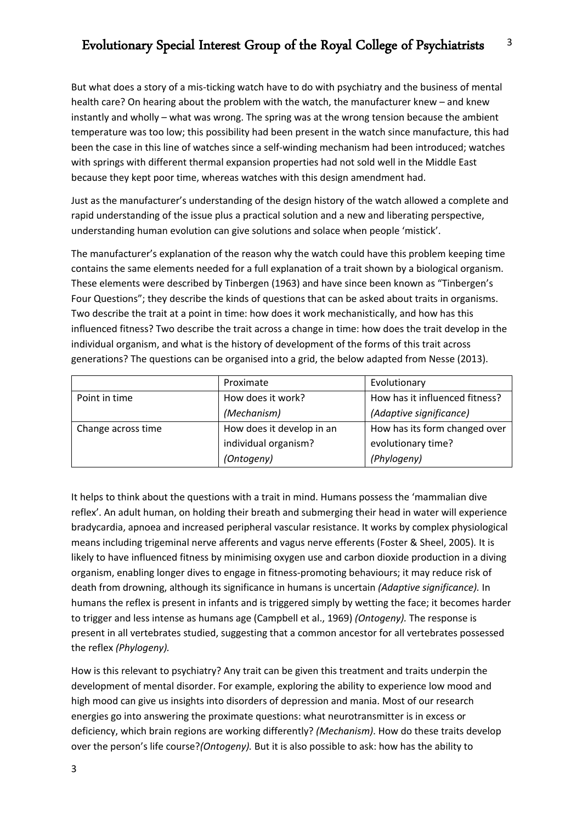But what does a story of a mis-ticking watch have to do with psychiatry and the business of mental health care? On hearing about the problem with the watch, the manufacturer knew – and knew instantly and wholly – what was wrong. The spring was at the wrong tension because the ambient temperature was too low; this possibility had been present in the watch since manufacture, this had been the case in this line of watches since a self-winding mechanism had been introduced; watches with springs with different thermal expansion properties had not sold well in the Middle East because they kept poor time, whereas watches with this design amendment had.

Just as the manufacturer's understanding of the design history of the watch allowed a complete and rapid understanding of the issue plus a practical solution and a new and liberating perspective, understanding human evolution can give solutions and solace when people 'mistick'.

The manufacturer's explanation of the reason why the watch could have this problem keeping time contains the same elements needed for a full explanation of a trait shown by a biological organism. These elements were described by Tinbergen (1963) and have since been known as "Tinbergen's Four Questions"; they describe the kinds of questions that can be asked about traits in organisms. Two describe the trait at a point in time: how does it work mechanistically, and how has this influenced fitness? Two describe the trait across a change in time: how does the trait develop in the individual organism, and what is the history of development of the forms of this trait across generations? The questions can be organised into a grid, the below adapted from Nesse (2013).

|                    | Proximate                 | Evolutionary                   |
|--------------------|---------------------------|--------------------------------|
| Point in time      | How does it work?         | How has it influenced fitness? |
|                    | (Mechanism)               | (Adaptive significance)        |
| Change across time | How does it develop in an | How has its form changed over  |
|                    | individual organism?      | evolutionary time?             |
|                    | (Ontogeny)                | (Phylogeny)                    |

It helps to think about the questions with a trait in mind. Humans possess the 'mammalian dive reflex'. An adult human, on holding their breath and submerging their head in water will experience bradycardia, apnoea and increased peripheral vascular resistance. It works by complex physiological means including trigeminal nerve afferents and vagus nerve efferents (Foster & Sheel, 2005)*.* It is likely to have influenced fitness by minimising oxygen use and carbon dioxide production in a diving organism, enabling longer dives to engage in fitness-promoting behaviours; it may reduce risk of death from drowning, although its significance in humans is uncertain *(Adaptive significance).* In humans the reflex is present in infants and is triggered simply by wetting the face; it becomes harder to trigger and less intense as humans age (Campbell et al., 1969) *(Ontogeny).* The response is present in all vertebrates studied, suggesting that a common ancestor for all vertebrates possessed the reflex *(Phylogeny).*

How is this relevant to psychiatry? Any trait can be given this treatment and traits underpin the development of mental disorder. For example, exploring the ability to experience low mood and high mood can give us insights into disorders of depression and mania. Most of our research energies go into answering the proximate questions: what neurotransmitter is in excess or deficiency, which brain regions are working differently? *(Mechanism)*. How do these traits develop over the person's life course?*(Ontogeny).* But it is also possible to ask: how has the ability to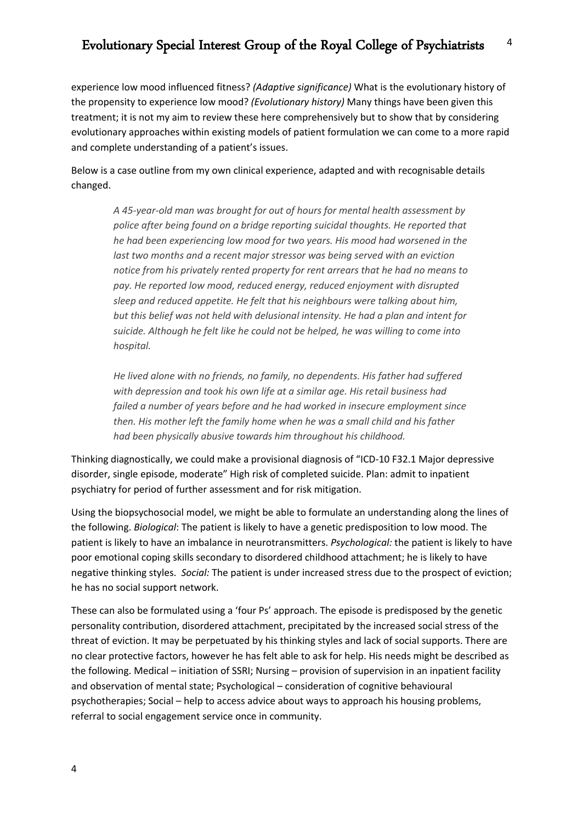experience low mood influenced fitness? *(Adaptive significance)* What is the evolutionary history of the propensity to experience low mood? *(Evolutionary history)* Many things have been given this treatment; it is not my aim to review these here comprehensively but to show that by considering evolutionary approaches within existing models of patient formulation we can come to a more rapid and complete understanding of a patient's issues.

Below is a case outline from my own clinical experience, adapted and with recognisable details changed.

> *A 45-year-old man was brought for out of hours for mental health assessment by police after being found on a bridge reporting suicidal thoughts. He reported that he had been experiencing low mood for two years. His mood had worsened in the last two months and a recent major stressor was being served with an eviction notice from his privately rented property for rent arrears that he had no means to pay. He reported low mood, reduced energy, reduced enjoyment with disrupted sleep and reduced appetite. He felt that his neighbours were talking about him, but this belief was not held with delusional intensity. He had a plan and intent for suicide. Although he felt like he could not be helped, he was willing to come into hospital.*

> *He lived alone with no friends, no family, no dependents. His father had suffered with depression and took his own life at a similar age. His retail business had failed a number of years before and he had worked in insecure employment since then. His mother left the family home when he was a small child and his father had been physically abusive towards him throughout his childhood.*

Thinking diagnostically, we could make a provisional diagnosis of "ICD-10 F32.1 Major depressive disorder, single episode, moderate" High risk of completed suicide. Plan: admit to inpatient psychiatry for period of further assessment and for risk mitigation.

Using the biopsychosocial model, we might be able to formulate an understanding along the lines of the following. *Biological*: The patient is likely to have a genetic predisposition to low mood. The patient is likely to have an imbalance in neurotransmitters. *Psychological:* the patient is likely to have poor emotional coping skills secondary to disordered childhood attachment; he is likely to have negative thinking styles. *Social:* The patient is under increased stress due to the prospect of eviction; he has no social support network.

These can also be formulated using a 'four Ps' approach. The episode is predisposed by the genetic personality contribution, disordered attachment, precipitated by the increased social stress of the threat of eviction. It may be perpetuated by his thinking styles and lack of social supports. There are no clear protective factors, however he has felt able to ask for help. His needs might be described as the following. Medical – initiation of SSRI; Nursing – provision of supervision in an inpatient facility and observation of mental state; Psychological – consideration of cognitive behavioural psychotherapies; Social – help to access advice about ways to approach his housing problems, referral to social engagement service once in community.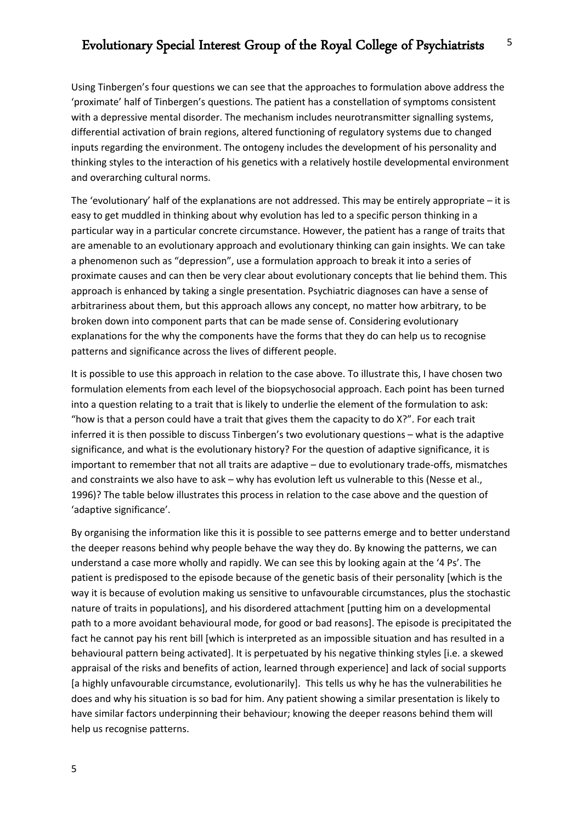Using Tinbergen's four questions we can see that the approaches to formulation above address the 'proximate' half of Tinbergen's questions. The patient has a constellation of symptoms consistent with a depressive mental disorder. The mechanism includes neurotransmitter signalling systems, differential activation of brain regions, altered functioning of regulatory systems due to changed inputs regarding the environment. The ontogeny includes the development of his personality and thinking styles to the interaction of his genetics with a relatively hostile developmental environment and overarching cultural norms.

The 'evolutionary' half of the explanations are not addressed. This may be entirely appropriate – it is easy to get muddled in thinking about why evolution has led to a specific person thinking in a particular way in a particular concrete circumstance. However, the patient has a range of traits that are amenable to an evolutionary approach and evolutionary thinking can gain insights. We can take a phenomenon such as "depression", use a formulation approach to break it into a series of proximate causes and can then be very clear about evolutionary concepts that lie behind them. This approach is enhanced by taking a single presentation. Psychiatric diagnoses can have a sense of arbitrariness about them, but this approach allows any concept, no matter how arbitrary, to be broken down into component parts that can be made sense of. Considering evolutionary explanations for the why the components have the forms that they do can help us to recognise patterns and significance across the lives of different people.

It is possible to use this approach in relation to the case above. To illustrate this, I have chosen two formulation elements from each level of the biopsychosocial approach. Each point has been turned into a question relating to a trait that is likely to underlie the element of the formulation to ask: "how is that a person could have a trait that gives them the capacity to do X?". For each trait inferred it is then possible to discuss Tinbergen's two evolutionary questions – what is the adaptive significance, and what is the evolutionary history? For the question of adaptive significance, it is important to remember that not all traits are adaptive – due to evolutionary trade-offs, mismatches and constraints we also have to ask – why has evolution left us vulnerable to this (Nesse et al., 1996)? The table below illustrates this process in relation to the case above and the question of 'adaptive significance'.

By organising the information like this it is possible to see patterns emerge and to better understand the deeper reasons behind why people behave the way they do. By knowing the patterns, we can understand a case more wholly and rapidly. We can see this by looking again at the '4 Ps'. The patient is predisposed to the episode because of the genetic basis of their personality [which is the way it is because of evolution making us sensitive to unfavourable circumstances, plus the stochastic nature of traits in populations], and his disordered attachment [putting him on a developmental path to a more avoidant behavioural mode, for good or bad reasons]. The episode is precipitated the fact he cannot pay his rent bill [which is interpreted as an impossible situation and has resulted in a behavioural pattern being activated]. It is perpetuated by his negative thinking styles [i.e. a skewed appraisal of the risks and benefits of action, learned through experience] and lack of social supports [a highly unfavourable circumstance, evolutionarily]. This tells us why he has the vulnerabilities he does and why his situation is so bad for him. Any patient showing a similar presentation is likely to have similar factors underpinning their behaviour; knowing the deeper reasons behind them will help us recognise patterns.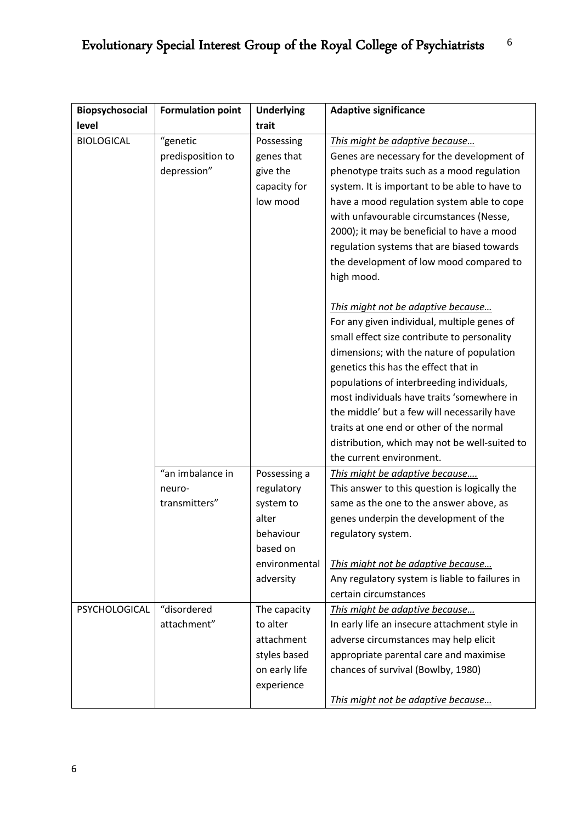| Biopsychosocial   | <b>Formulation point</b> | <b>Underlying</b> | <b>Adaptive significance</b>                   |
|-------------------|--------------------------|-------------------|------------------------------------------------|
| level             |                          | trait             |                                                |
| <b>BIOLOGICAL</b> | "genetic                 | Possessing        | This might be adaptive because                 |
|                   | predisposition to        | genes that        | Genes are necessary for the development of     |
|                   | depression"              | give the          | phenotype traits such as a mood regulation     |
|                   |                          | capacity for      | system. It is important to be able to have to  |
|                   |                          | low mood          | have a mood regulation system able to cope     |
|                   |                          |                   | with unfavourable circumstances (Nesse,        |
|                   |                          |                   | 2000); it may be beneficial to have a mood     |
|                   |                          |                   | regulation systems that are biased towards     |
|                   |                          |                   | the development of low mood compared to        |
|                   |                          |                   | high mood.                                     |
|                   |                          |                   | This might not be adaptive because             |
|                   |                          |                   | For any given individual, multiple genes of    |
|                   |                          |                   | small effect size contribute to personality    |
|                   |                          |                   | dimensions; with the nature of population      |
|                   |                          |                   | genetics this has the effect that in           |
|                   |                          |                   | populations of interbreeding individuals,      |
|                   |                          |                   | most individuals have traits 'somewhere in     |
|                   |                          |                   | the middle' but a few will necessarily have    |
|                   |                          |                   | traits at one end or other of the normal       |
|                   |                          |                   | distribution, which may not be well-suited to  |
|                   |                          |                   | the current environment.                       |
|                   | "an imbalance in         | Possessing a      | This might be adaptive because                 |
|                   | neuro-                   | regulatory        | This answer to this question is logically the  |
|                   | transmitters"            | system to         | same as the one to the answer above, as        |
|                   |                          | alter             | genes underpin the development of the          |
|                   |                          | behaviour         | regulatory system.                             |
|                   |                          | based on          |                                                |
|                   |                          | environmental     | This might not be adaptive because             |
|                   |                          | adversity         | Any regulatory system is liable to failures in |
|                   |                          |                   | certain circumstances                          |
| PSYCHOLOGICAL     | "disordered              | The capacity      | This might be adaptive because                 |
|                   | attachment"              | to alter          | In early life an insecure attachment style in  |
|                   |                          | attachment        | adverse circumstances may help elicit          |
|                   |                          | styles based      | appropriate parental care and maximise         |
|                   |                          | on early life     | chances of survival (Bowlby, 1980)             |
|                   |                          | experience        |                                                |
|                   |                          |                   | This might not be adaptive because             |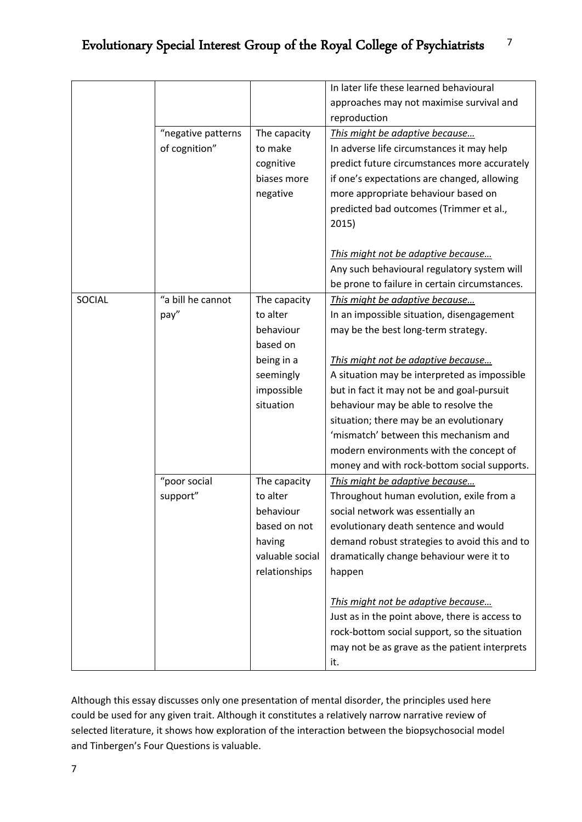|        |                    |                 | In later life these learned behavioural        |
|--------|--------------------|-----------------|------------------------------------------------|
|        |                    |                 | approaches may not maximise survival and       |
|        |                    |                 | reproduction                                   |
|        | "negative patterns | The capacity    | This might be adaptive because                 |
|        | of cognition"      | to make         | In adverse life circumstances it may help      |
|        |                    | cognitive       | predict future circumstances more accurately   |
|        |                    | biases more     | if one's expectations are changed, allowing    |
|        |                    | negative        | more appropriate behaviour based on            |
|        |                    |                 | predicted bad outcomes (Trimmer et al.,        |
|        |                    |                 | 2015)                                          |
|        |                    |                 |                                                |
|        |                    |                 | This might not be adaptive because             |
|        |                    |                 | Any such behavioural regulatory system will    |
|        |                    |                 | be prone to failure in certain circumstances.  |
| SOCIAL | "a bill he cannot  | The capacity    | This might be adaptive because                 |
|        | pay"               | to alter        | In an impossible situation, disengagement      |
|        |                    | behaviour       | may be the best long-term strategy.            |
|        |                    | based on        |                                                |
|        |                    | being in a      | This might not be adaptive because             |
|        |                    | seemingly       | A situation may be interpreted as impossible   |
|        |                    | impossible      | but in fact it may not be and goal-pursuit     |
|        |                    | situation       | behaviour may be able to resolve the           |
|        |                    |                 | situation; there may be an evolutionary        |
|        |                    |                 | 'mismatch' between this mechanism and          |
|        |                    |                 | modern environments with the concept of        |
|        |                    |                 | money and with rock-bottom social supports.    |
|        | "poor social       | The capacity    | This might be adaptive because                 |
|        | support"           | to alter        | Throughout human evolution, exile from a       |
|        |                    | behaviour       | social network was essentially an              |
|        |                    | based on not    | evolutionary death sentence and would          |
|        |                    | having          | demand robust strategies to avoid this and to  |
|        |                    | valuable social | dramatically change behaviour were it to       |
|        |                    | relationships   | happen                                         |
|        |                    |                 | This might not be adaptive because             |
|        |                    |                 | Just as in the point above, there is access to |
|        |                    |                 | rock-bottom social support, so the situation   |
|        |                    |                 |                                                |
|        |                    |                 | may not be as grave as the patient interprets  |
|        |                    |                 | it.                                            |

Although this essay discusses only one presentation of mental disorder, the principles used here could be used for any given trait. Although it constitutes a relatively narrow narrative review of selected literature, it shows how exploration of the interaction between the biopsychosocial model and Tinbergen's Four Questions is valuable.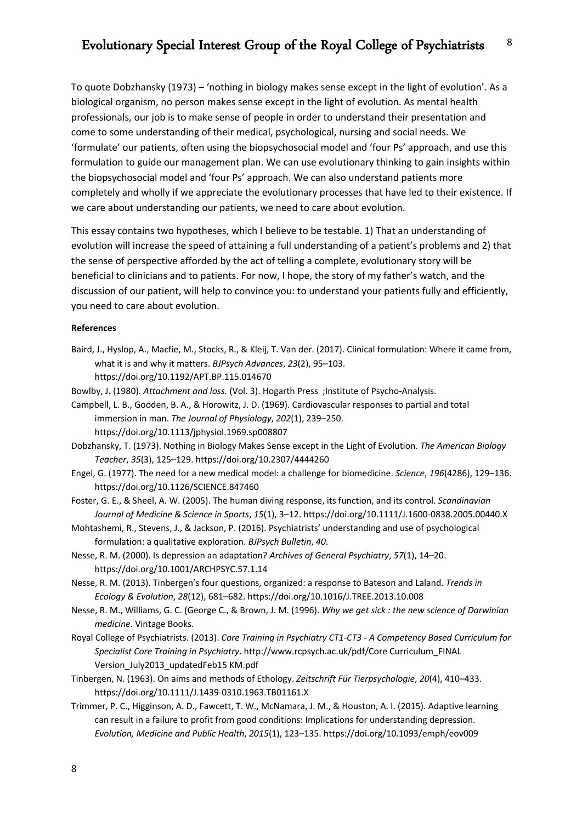To quote Dobzhansky (1973) – 'nothing in biology makes sense except in the light of evolution'. As a biological organism, no person makes sense except in the light of evolution. As mental health professionals, our job is to make sense of people in order to understand their presentation and come to some understanding of their medical, psychological, nursing and social needs. We 'formulate' our patients, often using the biopsychosocial model and 'four Ps' approach, and use this formulation to guide our management plan. We can use evolutionary thinking to gain insights within the biopsychosocial model and 'four Ps' approach. We can also understand patients more completely and wholly if we appreciate the evolutionary processes that have led to their existence. If we care about understanding our patients, we need to care about evolution.

This essay contains two hypotheses, which I believe to be testable. 1) That an understanding of evolution will increase the speed of attaining a full understanding of a patient's problems and 2) that the sense of perspective afforded by the act of telling a complete, evolutionary story will be beneficial to clinicians and to patients. For now, I hope, the story of my father's watch, and the discussion of our patient, will help to convince you: to understand your patients fully and efficiently, you need to care about evolution.

#### **References**

- Baird, J., Hyslop, A., Macfie, M., Stocks, R., & Kleij, T. Van der. (2017). Clinical formulation: Where it came from, what it is and why it matters. *BJPsych Advances*, *23*(2), 95–103. https://doi.org/10.1192/APT.BP.115.014670
- Bowlby, J. (1980). *Attachment and loss.* (Vol. 3). Hogarth Press  ;Institute of Psycho-Analysis.
- Campbell, L. B., Gooden, B. A., & Horowitz, J. D. (1969). Cardiovascular responses to partial and total immersion in man. *The Journal of Physiology*, *202*(1), 239–250. https://doi.org/10.1113/jphysiol.1969.sp008807
- Dobzhansky, T. (1973). Nothing in Biology Makes Sense except in the Light of Evolution. *The American Biology Teacher*, *35*(3), 125–129. https://doi.org/10.2307/4444260
- Engel, G. (1977). The need for a new medical model: a challenge for biomedicine. *Science*, *196*(4286), 129–136. https://doi.org/10.1126/SCIENCE.847460
- Foster, G. E., & Sheel, A. W. (2005). The human diving response, its function, and its control. *Scandinavian Journal of Medicine & Science in Sports*, *15*(1), 3–12. https://doi.org/10.1111/J.1600-0838.2005.00440.X
- Mohtashemi, R., Stevens, J., & Jackson, P. (2016). Psychiatrists' understanding and use of psychological formulation: a qualitative exploration. *BJPsych Bulletin*, *40*.
- Nesse, R. M. (2000). Is depression an adaptation? *Archives of General Psychiatry*, *57*(1), 14–20. https://doi.org/10.1001/ARCHPSYC.57.1.14
- Nesse, R. M. (2013). Tinbergen's four questions, organized: a response to Bateson and Laland. *Trends in Ecology & Evolution*, *28*(12), 681–682. https://doi.org/10.1016/J.TREE.2013.10.008
- Nesse, R. M., Williams, G. C. (George C., & Brown, J. M. (1996). *Why we get sick : the new science of Darwinian medicine*. Vintage Books.
- Royal College of Psychiatrists. (2013). *Core Training in Psychiatry CT1-CT3 - A Competency Based Curriculum for Specialist Core Training in Psychiatry*. http://www.rcpsych.ac.uk/pdf/Core Curriculum\_FINAL Version\_July2013\_updatedFeb15 KM.pdf
- Tinbergen, N. (1963). On aims and methods of Ethology. *Zeitschrift Für Tierpsychologie*, *20*(4), 410–433. https://doi.org/10.1111/J.1439-0310.1963.TB01161.X
- Trimmer, P. C., Higginson, A. D., Fawcett, T. W., McNamara, J. M., & Houston, A. I. (2015). Adaptive learning can result in a failure to profit from good conditions: Implications for understanding depression. *Evolution, Medicine and Public Health*, *2015*(1), 123–135. https://doi.org/10.1093/emph/eov009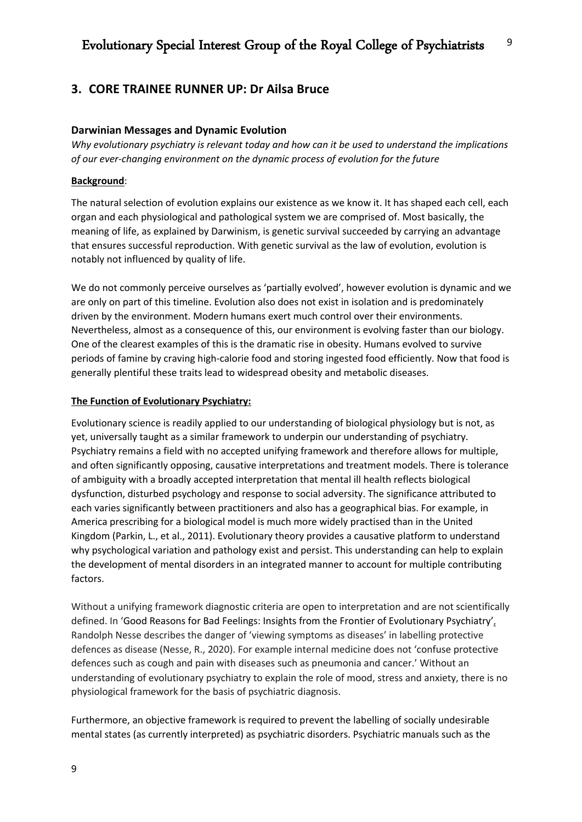# **3. CORE TRAINEE RUNNER UP: Dr Ailsa Bruce**

### **Darwinian Messages and Dynamic Evolution**

*Why evolutionary psychiatry is relevant today and how can it be used to understand the implications of our ever-changing environment on the dynamic process of evolution for the future* 

#### **Background**:

The natural selection of evolution explains our existence as we know it. It has shaped each cell, each organ and each physiological and pathological system we are comprised of. Most basically, the meaning of life, as explained by Darwinism, is genetic survival succeeded by carrying an advantage that ensures successful reproduction. With genetic survival as the law of evolution, evolution is notably not influenced by quality of life.

We do not commonly perceive ourselves as 'partially evolved', however evolution is dynamic and we are only on part of this timeline. Evolution also does not exist in isolation and is predominately driven by the environment. Modern humans exert much control over their environments. Nevertheless, almost as a consequence of this, our environment is evolving faster than our biology. One of the clearest examples of this is the dramatic rise in obesity. Humans evolved to survive periods of famine by craving high-calorie food and storing ingested food efficiently. Now that food is generally plentiful these traits lead to widespread obesity and metabolic diseases.

### **The Function of Evolutionary Psychiatry:**

Evolutionary science is readily applied to our understanding of biological physiology but is not, as yet, universally taught as a similar framework to underpin our understanding of psychiatry. Psychiatry remains a field with no accepted unifying framework and therefore allows for multiple, and often significantly opposing, causative interpretations and treatment models. There is tolerance of ambiguity with a broadly accepted interpretation that mental ill health reflects biological dysfunction, disturbed psychology and response to social adversity. The significance attributed to each varies significantly between practitioners and also has a geographical bias. For example, in America prescribing for a biological model is much more widely practised than in the United Kingdom (Parkin, L., et al., 2011). Evolutionary theory provides a causative platform to understand why psychological variation and pathology exist and persist. This understanding can help to explain the development of mental disorders in an integrated manner to account for multiple contributing factors.

Without a unifying framework diagnostic criteria are open to interpretation and are not scientifically defined. In 'Good Reasons for Bad Feelings: Insights from the Frontier of Evolutionary Psychiatry', Randolph Nesse describes the danger of 'viewing symptoms as diseases' in labelling protective defences as disease (Nesse, R., 2020). For example internal medicine does not 'confuse protective defences such as cough and pain with diseases such as pneumonia and cancer.' Without an understanding of evolutionary psychiatry to explain the role of mood, stress and anxiety, there is no physiological framework for the basis of psychiatric diagnosis.

Furthermore, an objective framework is required to prevent the labelling of socially undesirable mental states (as currently interpreted) as psychiatric disorders. Psychiatric manuals such as the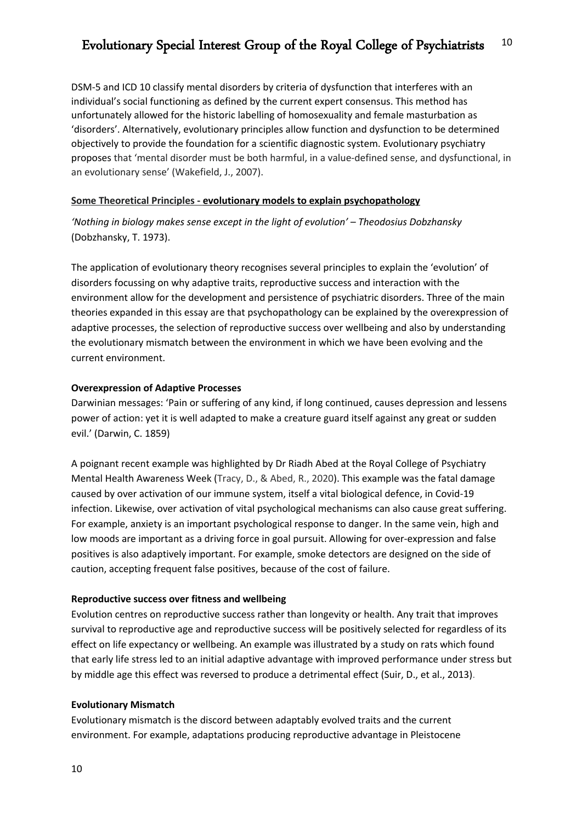DSM-5 and ICD 10 classify mental disorders by criteria of dysfunction that interferes with an individual's social functioning as defined by the current expert consensus. This method has unfortunately allowed for the historic labelling of homosexuality and female masturbation as 'disorders'. Alternatively, evolutionary principles allow function and dysfunction to be determined objectively to provide the foundation for a scientific diagnostic system. Evolutionary psychiatry proposes that 'mental disorder must be both harmful, in a value-defined sense, and dysfunctional, in an evolutionary sense' (Wakefield, J., 2007).

#### **Some Theoretical Principles - evolutionary models to explain psychopathology**

*'Nothing in biology makes sense except in the light of evolution' – Theodosius Dobzhansky*  (Dobzhansky, T. 1973).

The application of evolutionary theory recognises several principles to explain the 'evolution' of disorders focussing on why adaptive traits, reproductive success and interaction with the environment allow for the development and persistence of psychiatric disorders. Three of the main theories expanded in this essay are that psychopathology can be explained by the overexpression of adaptive processes, the selection of reproductive success over wellbeing and also by understanding the evolutionary mismatch between the environment in which we have been evolving and the current environment.

### **Overexpression of Adaptive Processes**

Darwinian messages: 'Pain or suffering of any kind, if long continued, causes depression and lessens power of action: yet it is well adapted to make a creature guard itself against any great or sudden evil.' (Darwin, C. 1859)

A poignant recent example was highlighted by Dr Riadh Abed at the Royal College of Psychiatry Mental Health Awareness Week (Tracy, D., & Abed, R., 2020). This example was the fatal damage caused by over activation of our immune system, itself a vital biological defence, in Covid-19 infection. Likewise, over activation of vital psychological mechanisms can also cause great suffering. For example, anxiety is an important psychological response to danger. In the same vein, high and low moods are important as a driving force in goal pursuit. Allowing for over-expression and false positives is also adaptively important. For example, smoke detectors are designed on the side of caution, accepting frequent false positives, because of the cost of failure.

#### **Reproductive success over fitness and wellbeing**

Evolution centres on reproductive success rather than longevity or health. Any trait that improves survival to reproductive age and reproductive success will be positively selected for regardless of its effect on life expectancy or wellbeing. An example was illustrated by a study on rats which found that early life stress led to an initial adaptive advantage with improved performance under stress but by middle age this effect was reversed to produce a detrimental effect (Suir, D., et al., 2013).

#### **Evolutionary Mismatch**

Evolutionary mismatch is the discord between adaptably evolved traits and the current environment. For example, adaptations producing reproductive advantage in Pleistocene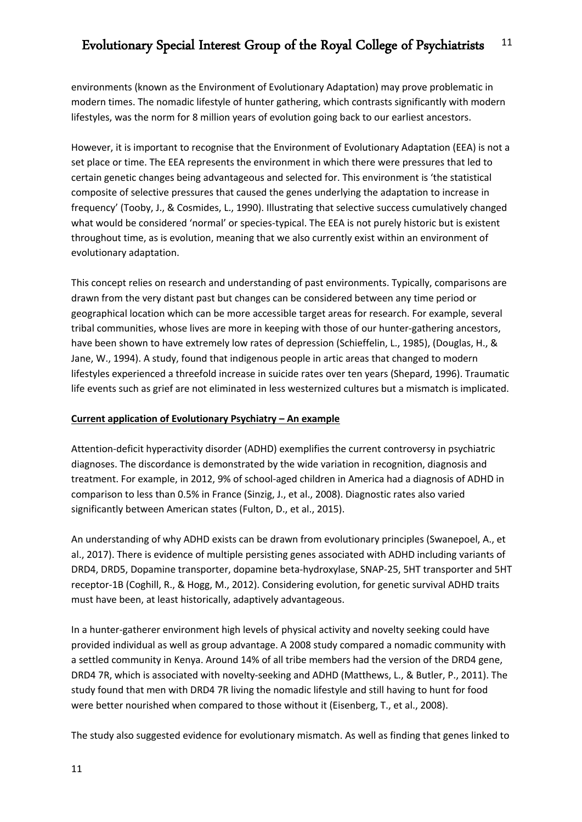environments (known as the Environment of Evolutionary Adaptation) may prove problematic in modern times. The nomadic lifestyle of hunter gathering, which contrasts significantly with modern lifestyles, was the norm for 8 million years of evolution going back to our earliest ancestors.

However, it is important to recognise that the Environment of Evolutionary Adaptation (EEA) is not a set place or time. The EEA represents the environment in which there were pressures that led to certain genetic changes being advantageous and selected for. This environment is 'the statistical composite of selective pressures that caused the genes underlying the adaptation to increase in frequency' (Tooby, J., & Cosmides, L., 1990). Illustrating that selective success cumulatively changed what would be considered 'normal' or species-typical. The EEA is not purely historic but is existent throughout time, as is evolution, meaning that we also currently exist within an environment of evolutionary adaptation.

This concept relies on research and understanding of past environments. Typically, comparisons are drawn from the very distant past but changes can be considered between any time period or geographical location which can be more accessible target areas for research. For example, several tribal communities, whose lives are more in keeping with those of our hunter-gathering ancestors, have been shown to have extremely low rates of depression (Schieffelin, L., 1985), (Douglas, H., & Jane, W., 1994). A study, found that indigenous people in artic areas that changed to modern lifestyles experienced a threefold increase in suicide rates over ten years (Shepard, 1996). Traumatic life events such as grief are not eliminated in less westernized cultures but a mismatch is implicated.

## **Current application of Evolutionary Psychiatry – An example**

Attention-deficit hyperactivity disorder (ADHD) exemplifies the current controversy in psychiatric diagnoses. The discordance is demonstrated by the wide variation in recognition, diagnosis and treatment. For example, in 2012, 9% of school-aged children in America had a diagnosis of ADHD in comparison to less than 0.5% in France (Sinzig, J., et al., 2008). Diagnostic rates also varied significantly between American states (Fulton, D., et al., 2015).

An understanding of why ADHD exists can be drawn from evolutionary principles (Swanepoel, A., et al., 2017). There is evidence of multiple persisting genes associated with ADHD including variants of DRD4, DRD5, Dopamine transporter, dopamine beta-hydroxylase, SNAP-25, 5HT transporter and 5HT receptor-1B (Coghill, R., & Hogg, M., 2012). Considering evolution, for genetic survival ADHD traits must have been, at least historically, adaptively advantageous.

In a hunter-gatherer environment high levels of physical activity and novelty seeking could have provided individual as well as group advantage. A 2008 study compared a nomadic community with a settled community in Kenya. Around 14% of all tribe members had the version of the DRD4 gene, DRD4 7R, which is associated with novelty-seeking and ADHD (Matthews, L., & Butler, P., 2011). The study found that men with DRD4 7R living the nomadic lifestyle and still having to hunt for food were better nourished when compared to those without it (Eisenberg, T., et al., 2008).

The study also suggested evidence for evolutionary mismatch. As well as finding that genes linked to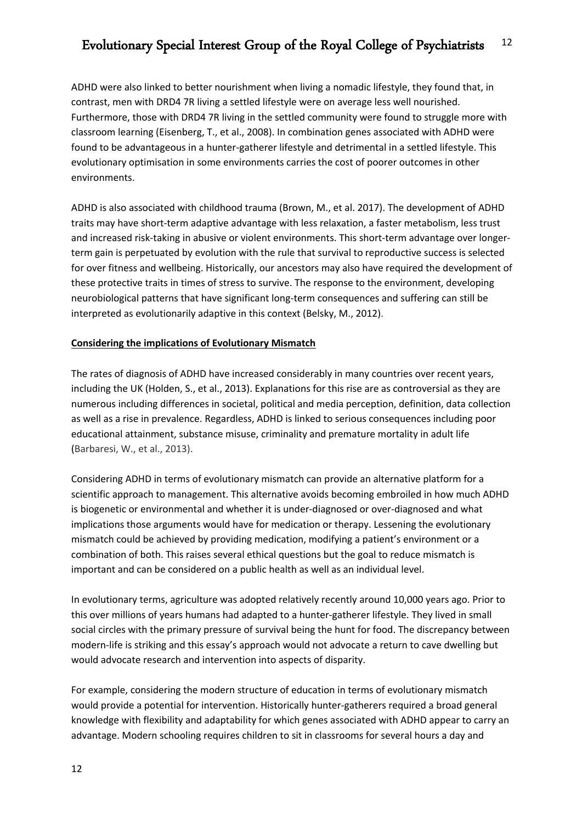ADHD were also linked to better nourishment when living a nomadic lifestyle, they found that, in contrast, men with DRD4 7R living a settled lifestyle were on average less well nourished. Furthermore, those with DRD4 7R living in the settled community were found to struggle more with classroom learning (Eisenberg, T., et al., 2008). In combination genes associated with ADHD were found to be advantageous in a hunter-gatherer lifestyle and detrimental in a settled lifestyle. This evolutionary optimisation in some environments carries the cost of poorer outcomes in other environments.

ADHD is also associated with childhood trauma (Brown, M., et al. 2017). The development of ADHD traits may have short-term adaptive advantage with less relaxation, a faster metabolism, less trust and increased risk-taking in abusive or violent environments. This short-term advantage over longerterm gain is perpetuated by evolution with the rule that survival to reproductive success is selected for over fitness and wellbeing. Historically, our ancestors may also have required the development of these protective traits in times of stress to survive. The response to the environment, developing neurobiological patterns that have significant long-term consequences and suffering can still be interpreted as evolutionarily adaptive in this context (Belsky, M., 2012).

### **Considering the implications of Evolutionary Mismatch**

The rates of diagnosis of ADHD have increased considerably in many countries over recent years, including the UK (Holden, S., et al., 2013). Explanations for this rise are as controversial as they are numerous including differences in societal, political and media perception, definition, data collection as well as a rise in prevalence. Regardless, ADHD is linked to serious consequences including poor educational attainment, substance misuse, criminality and premature mortality in adult life (Barbaresi, W., et al., 2013).

Considering ADHD in terms of evolutionary mismatch can provide an alternative platform for a scientific approach to management. This alternative avoids becoming embroiled in how much ADHD is biogenetic or environmental and whether it is under-diagnosed or over-diagnosed and what implications those arguments would have for medication or therapy. Lessening the evolutionary mismatch could be achieved by providing medication, modifying a patient's environment or a combination of both. This raises several ethical questions but the goal to reduce mismatch is important and can be considered on a public health as well as an individual level.

In evolutionary terms, agriculture was adopted relatively recently around 10,000 years ago. Prior to this over millions of years humans had adapted to a hunter-gatherer lifestyle. They lived in small social circles with the primary pressure of survival being the hunt for food. The discrepancy between modern-life is striking and this essay's approach would not advocate a return to cave dwelling but would advocate research and intervention into aspects of disparity.

For example, considering the modern structure of education in terms of evolutionary mismatch would provide a potential for intervention. Historically hunter-gatherers required a broad general knowledge with flexibility and adaptability for which genes associated with ADHD appear to carry an advantage. Modern schooling requires children to sit in classrooms for several hours a day and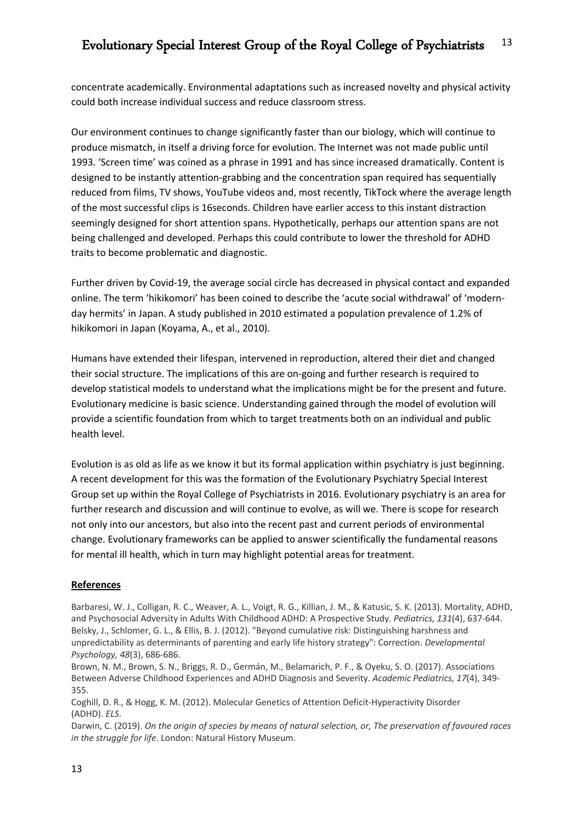concentrate academically. Environmental adaptations such as increased novelty and physical activity could both increase individual success and reduce classroom stress.

Our environment continues to change significantly faster than our biology, which will continue to produce mismatch, in itself a driving force for evolution. The Internet was not made public until 1993. 'Screen time' was coined as a phrase in 1991 and has since increased dramatically. Content is designed to be instantly attention-grabbing and the concentration span required has sequentially reduced from films, TV shows, YouTube videos and, most recently, TikTock where the average length of the most successful clips is 16seconds. Children have earlier access to this instant distraction seemingly designed for short attention spans. Hypothetically, perhaps our attention spans are not being challenged and developed. Perhaps this could contribute to lower the threshold for ADHD traits to become problematic and diagnostic.

Further driven by Covid-19, the average social circle has decreased in physical contact and expanded online. The term 'hikikomori' has been coined to describe the 'acute social withdrawal' of 'modernday hermits' in Japan. A study published in 2010 estimated a population prevalence of 1.2% of hikikomori in Japan (Koyama, A., et al., 2010).

Humans have extended their lifespan, intervened in reproduction, altered their diet and changed their social structure. The implications of this are on-going and further research is required to develop statistical models to understand what the implications might be for the present and future. Evolutionary medicine is basic science. Understanding gained through the model of evolution will provide a scientific foundation from which to target treatments both on an individual and public health level.

Evolution is as old as life as we know it but its formal application within psychiatry is just beginning. A recent development for this was the formation of the Evolutionary Psychiatry Special Interest Group set up within the Royal College of Psychiatrists in 2016. Evolutionary psychiatry is an area for further research and discussion and will continue to evolve, as will we. There is scope for research not only into our ancestors, but also into the recent past and current periods of environmental change. Evolutionary frameworks can be applied to answer scientifically the fundamental reasons for mental ill health, which in turn may highlight potential areas for treatment.

## **References**

Barbaresi, W. J., Colligan, R. C., Weaver, A. L., Voigt, R. G., Killian, J. M., & Katusic, S. K. (2013). Mortality, ADHD, and Psychosocial Adversity in Adults With Childhood ADHD: A Prospective Study. *Pediatrics, 131*(4), 637-644. Belsky, J., Schlomer, G. L., & Ellis, B. J. (2012). "Beyond cumulative risk: Distinguishing harshness and unpredictability as determinants of parenting and early life history strategy": Correction. *Developmental Psychology, 48*(3), 686-686.

Brown, N. M., Brown, S. N., Briggs, R. D., Germán, M., Belamarich, P. F., & Oyeku, S. O. (2017). Associations Between Adverse Childhood Experiences and ADHD Diagnosis and Severity. *Academic Pediatrics, 17*(4), 349- 355.

Coghill, D. R., & Hogg, K. M. (2012). Molecular Genetics of Attention Deficit-Hyperactivity Disorder (ADHD). *ELS*.

Darwin, C. (2019). *On the origin of species by means of natural selection, or, The preservation of favoured races in the struggle for life*. London: Natural History Museum.